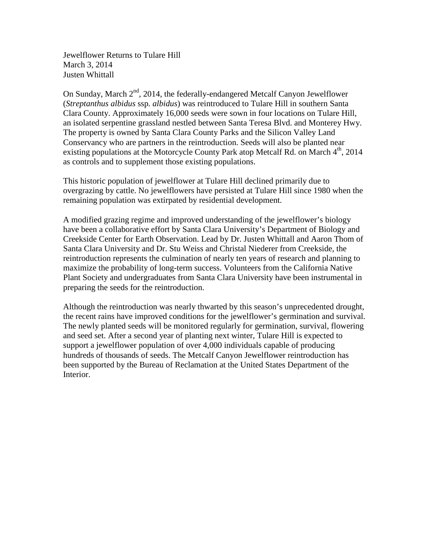Jewelflower Returns to Tulare Hill March 3, 2014 Justen Whittall

On Sunday, March  $2<sup>nd</sup>$ , 2014, the federally-endangered Metcalf Canyon Jewelflower (*Streptanthus albidus* ssp. *albidus*) was reintroduced to Tulare Hill in southern Santa Clara County. Approximately 16,000 seeds were sown in four locations on Tulare Hill, an isolated serpentine grassland nestled between Santa Teresa Blvd. and Monterey Hwy. The property is owned by Santa Clara County Parks and the Silicon Valley Land Conservancy who are partners in the reintroduction. Seeds will also be planted near existing populations at the Motorcycle County Park atop Metcalf Rd. on March 4<sup>th</sup>, 2014 as controls and to supplement those existing populations.

This historic population of jewelflower at Tulare Hill declined primarily due to overgrazing by cattle. No jewelflowers have persisted at Tulare Hill since 1980 when the remaining population was extirpated by residential development.

A modified grazing regime and improved understanding of the jewelflower's biology have been a collaborative effort by Santa Clara University's Department of Biology and Creekside Center for Earth Observation. Lead by Dr. Justen Whittall and Aaron Thom of Santa Clara University and Dr. Stu Weiss and Christal Niederer from Creekside, the reintroduction represents the culmination of nearly ten years of research and planning to maximize the probability of long-term success. Volunteers from the California Native Plant Society and undergraduates from Santa Clara University have been instrumental in preparing the seeds for the reintroduction.

Although the reintroduction was nearly thwarted by this season's unprecedented drought, the recent rains have improved conditions for the jewelflower's germination and survival. The newly planted seeds will be monitored regularly for germination, survival, flowering and seed set. After a second year of planting next winter, Tulare Hill is expected to support a jewelflower population of over 4,000 individuals capable of producing hundreds of thousands of seeds. The Metcalf Canyon Jewelflower reintroduction has been supported by the Bureau of Reclamation at the United States Department of the Interior.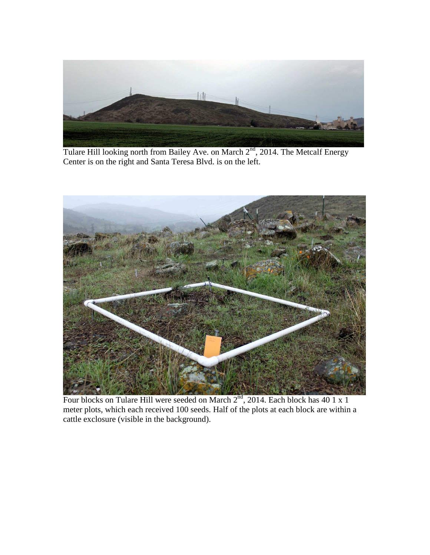

Tulare Hill looking north from Bailey Ave. on March 2<sup>nd</sup>, 2014. The Metcalf Energy Center is on the right and Santa Teresa Blvd. is on the left.



Four blocks on Tulare Hill were seeded on March  $2^{nd}$ , 2014. Each block has 40 1 x 1 meter plots, which each received 100 seeds. Half of the plots at each block are within a cattle exclosure (visible in the background).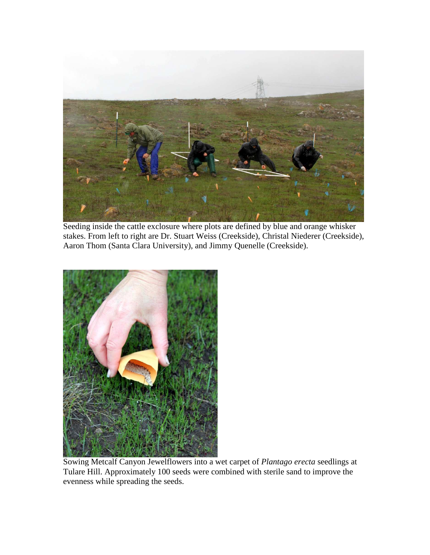

Seeding inside the cattle exclosure where plots are defined by blue and orange whisker stakes. From left to right are Dr. Stuart Weiss (Creekside), Christal Niederer (Creekside), Aaron Thom (Santa Clara University), and Jimmy Quenelle (Creekside).



Sowing Metcalf Canyon Jewelflowers into a wet carpet of *Plantago erecta* seedlings at Tulare Hill. Approximately 100 seeds were combined with sterile sand to improve the evenness while spreading the seeds.